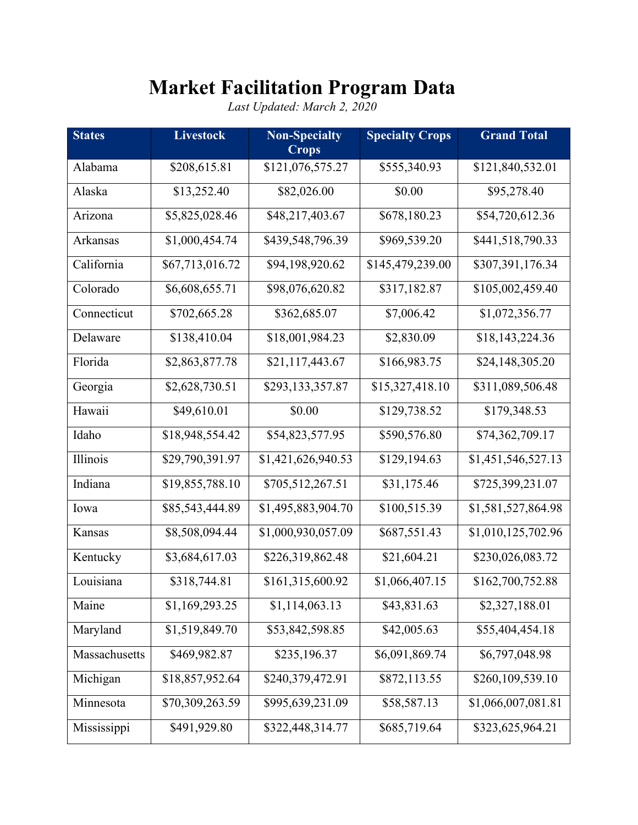## **Market Facilitation Program Data**

*Last Updated: March 2, 2020*

| <b>States</b> | <b>Livestock</b> | <b>Non-Specialty</b><br><b>Crops</b> | <b>Specialty Crops</b> | <b>Grand Total</b> |
|---------------|------------------|--------------------------------------|------------------------|--------------------|
| Alabama       | \$208,615.81     | \$121,076,575.27                     | \$555,340.93           | \$121,840,532.01   |
| Alaska        | \$13,252.40      | \$82,026.00                          | \$0.00                 | \$95,278.40        |
| Arizona       | \$5,825,028.46   | \$48,217,403.67                      | \$678,180.23           | \$54,720,612.36    |
| Arkansas      | \$1,000,454.74   | \$439,548,796.39                     | \$969,539.20           | \$441,518,790.33   |
| California    | \$67,713,016.72  | \$94,198,920.62                      | \$145,479,239.00       | \$307,391,176.34   |
| Colorado      | \$6,608,655.71   | \$98,076,620.82                      | \$317,182.87           | \$105,002,459.40   |
| Connecticut   | \$702,665.28     | \$362,685.07                         | \$7,006.42             | \$1,072,356.77     |
| Delaware      | \$138,410.04     | \$18,001,984.23                      | \$2,830.09             | \$18,143,224.36    |
| Florida       | \$2,863,877.78   | \$21,117,443.67                      | \$166,983.75           | \$24,148,305.20    |
| Georgia       | \$2,628,730.51   | \$293,133,357.87                     | \$15,327,418.10        | \$311,089,506.48   |
| Hawaii        | \$49,610.01      | \$0.00                               | \$129,738.52           | \$179,348.53       |
| Idaho         | \$18,948,554.42  | \$54,823,577.95                      | \$590,576.80           | \$74,362,709.17    |
| Illinois      | \$29,790,391.97  | \$1,421,626,940.53                   | \$129,194.63           | \$1,451,546,527.13 |
| Indiana       | \$19,855,788.10  | \$705,512,267.51                     | \$31,175.46            | \$725,399,231.07   |
| Iowa          | \$85,543,444.89  | \$1,495,883,904.70                   | \$100,515.39           | \$1,581,527,864.98 |
| Kansas        | \$8,508,094.44   | \$1,000,930,057.09                   | \$687,551.43           | \$1,010,125,702.96 |
| Kentucky      | \$3,684,617.03   | \$226,319,862.48                     | \$21,604.21            | \$230,026,083.72   |
| Louisiana     | \$318,744.81     | \$161,315,600.92                     | \$1,066,407.15         | \$162,700,752.88   |
| Maine         | \$1,169,293.25   | \$1,114,063.13                       | \$43,831.63            | \$2,327,188.01     |
| Maryland      | \$1,519,849.70   | \$53,842,598.85                      | \$42,005.63            | \$55,404,454.18    |
| Massachusetts | \$469,982.87     | \$235,196.37                         | \$6,091,869.74         | \$6,797,048.98     |
| Michigan      | \$18,857,952.64  | \$240,379,472.91                     | \$872,113.55           | \$260,109,539.10   |
| Minnesota     | \$70,309,263.59  | \$995,639,231.09                     | \$58,587.13            | \$1,066,007,081.81 |
| Mississippi   | \$491,929.80     | \$322,448,314.77                     | \$685,719.64           | \$323,625,964.21   |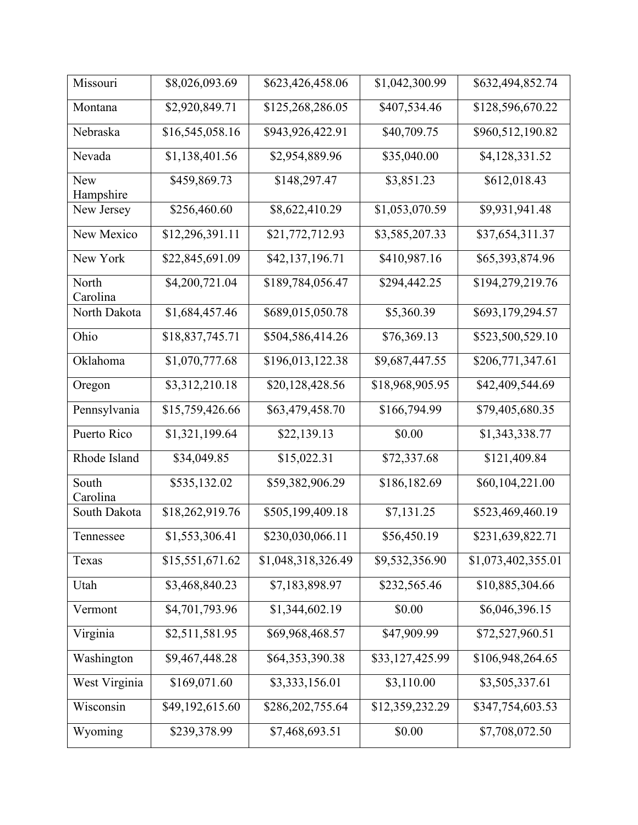| Missouri          | \$8,026,093.69  | \$623,426,458.06   | \$1,042,300.99  | \$632,494,852.74   |
|-------------------|-----------------|--------------------|-----------------|--------------------|
| Montana           | \$2,920,849.71  | \$125,268,286.05   | \$407,534.46    | \$128,596,670.22   |
| Nebraska          | \$16,545,058.16 | \$943,926,422.91   | \$40,709.75     | \$960,512,190.82   |
| Nevada            | \$1,138,401.56  | \$2,954,889.96     | \$35,040.00     | \$4,128,331.52     |
| New<br>Hampshire  | \$459,869.73    | \$148,297.47       | \$3,851.23      | \$612,018.43       |
| New Jersey        | \$256,460.60    | \$8,622,410.29     | \$1,053,070.59  | \$9,931,941.48     |
| New Mexico        | \$12,296,391.11 | \$21,772,712.93    | \$3,585,207.33  | \$37,654,311.37    |
| New York          | \$22,845,691.09 | \$42,137,196.71    | \$410,987.16    | \$65,393,874.96    |
| North<br>Carolina | \$4,200,721.04  | \$189,784,056.47   | \$294,442.25    | \$194,279,219.76   |
| North Dakota      | \$1,684,457.46  | \$689,015,050.78   | \$5,360.39      | \$693,179,294.57   |
| Ohio              | \$18,837,745.71 | \$504,586,414.26   | \$76,369.13     | \$523,500,529.10   |
| Oklahoma          | \$1,070,777.68  | \$196,013,122.38   | \$9,687,447.55  | \$206,771,347.61   |
| Oregon            | \$3,312,210.18  | \$20,128,428.56    | \$18,968,905.95 | \$42,409,544.69    |
| Pennsylvania      | \$15,759,426.66 | \$63,479,458.70    | \$166,794.99    | \$79,405,680.35    |
| Puerto Rico       | \$1,321,199.64  | \$22,139.13        | \$0.00          | \$1,343,338.77     |
| Rhode Island      | \$34,049.85     | \$15,022.31        | \$72,337.68     | \$121,409.84       |
| South<br>Carolina | \$535,132.02    | \$59,382,906.29    | \$186,182.69    | \$60,104,221.00    |
| South Dakota      | \$18,262,919.76 | \$505,199,409.18   | \$7,131.25      | \$523,469,460.19   |
| Tennessee         | \$1,553,306.41  | \$230,030,066.11   | \$56,450.19     | \$231,639,822.71   |
| Texas             | \$15,551,671.62 | \$1,048,318,326.49 | \$9,532,356.90  | \$1,073,402,355.01 |
| Utah              | \$3,468,840.23  | \$7,183,898.97     | \$232,565.46    | \$10,885,304.66    |
| Vermont           | \$4,701,793.96  | \$1,344,602.19     | \$0.00          | \$6,046,396.15     |
| Virginia          | \$2,511,581.95  | \$69,968,468.57    | \$47,909.99     | \$72,527,960.51    |
| Washington        | \$9,467,448.28  | \$64,353,390.38    | \$33,127,425.99 | \$106,948,264.65   |
| West Virginia     | \$169,071.60    | \$3,333,156.01     | \$3,110.00      | \$3,505,337.61     |
| Wisconsin         | \$49,192,615.60 | \$286,202,755.64   | \$12,359,232.29 | \$347,754,603.53   |
| Wyoming           | \$239,378.99    | \$7,468,693.51     | \$0.00          | \$7,708,072.50     |